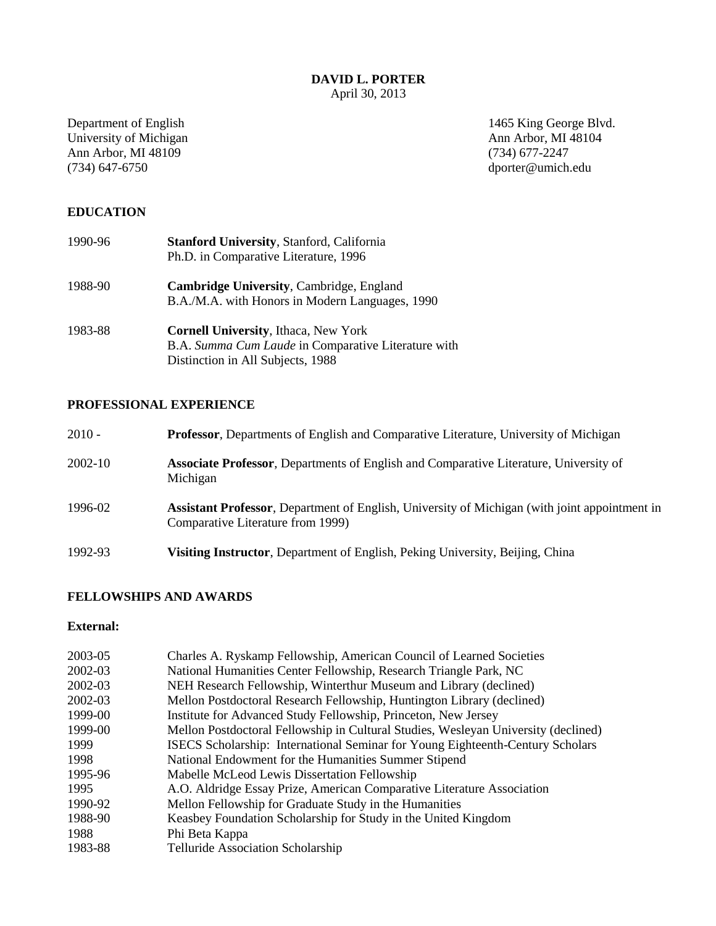April 30, 2013

University of Michigan Ann Arbor, MI<br>
Ann Arbor, MI 48109 (734) 677-2247 Ann Arbor, MI 48109<br>(734) 647-6750

Department of English 1465 King George Blvd.<br>
University of Michigan Ann Arbor, MI 48104 dporter@umich.edu

# **EDUCATION**

| 1990-96 | <b>Stanford University, Stanford, California</b><br>Ph.D. in Comparative Literature, 1996                                               |
|---------|-----------------------------------------------------------------------------------------------------------------------------------------|
| 1988-90 | <b>Cambridge University, Cambridge, England</b><br>B.A./M.A. with Honors in Modern Languages, 1990                                      |
| 1983-88 | <b>Cornell University, Ithaca, New York</b><br>B.A. Summa Cum Laude in Comparative Literature with<br>Distinction in All Subjects, 1988 |

# **PROFESSIONAL EXPERIENCE**

| $2010 -$ | <b>Professor, Departments of English and Comparative Literature, University of Michigan</b>                                                |
|----------|--------------------------------------------------------------------------------------------------------------------------------------------|
| 2002-10  | Associate Professor, Departments of English and Comparative Literature, University of<br>Michigan                                          |
| 1996-02  | <b>Assistant Professor</b> , Department of English, University of Michigan (with joint appointment in<br>Comparative Literature from 1999) |
| 1992-93  | <b>Visiting Instructor, Department of English, Peking University, Beijing, China</b>                                                       |

# **FELLOWSHIPS AND AWARDS**

# **External:**

| 2003-05 | Charles A. Ryskamp Fellowship, American Council of Learned Societies               |
|---------|------------------------------------------------------------------------------------|
| 2002-03 | National Humanities Center Fellowship, Research Triangle Park, NC                  |
| 2002-03 | NEH Research Fellowship, Winterthur Museum and Library (declined)                  |
| 2002-03 | Mellon Postdoctoral Research Fellowship, Huntington Library (declined)             |
| 1999-00 | Institute for Advanced Study Fellowship, Princeton, New Jersey                     |
| 1999-00 | Mellon Postdoctoral Fellowship in Cultural Studies, Wesleyan University (declined) |
| 1999    | ISECS Scholarship: International Seminar for Young Eighteenth-Century Scholars     |
| 1998    | National Endowment for the Humanities Summer Stipend                               |
| 1995-96 | Mabelle McLeod Lewis Dissertation Fellowship                                       |
| 1995    | A.O. Aldridge Essay Prize, American Comparative Literature Association             |
| 1990-92 | Mellon Fellowship for Graduate Study in the Humanities                             |
| 1988-90 | Keasbey Foundation Scholarship for Study in the United Kingdom                     |
| 1988    | Phi Beta Kappa                                                                     |
| 1983-88 | Telluride Association Scholarship                                                  |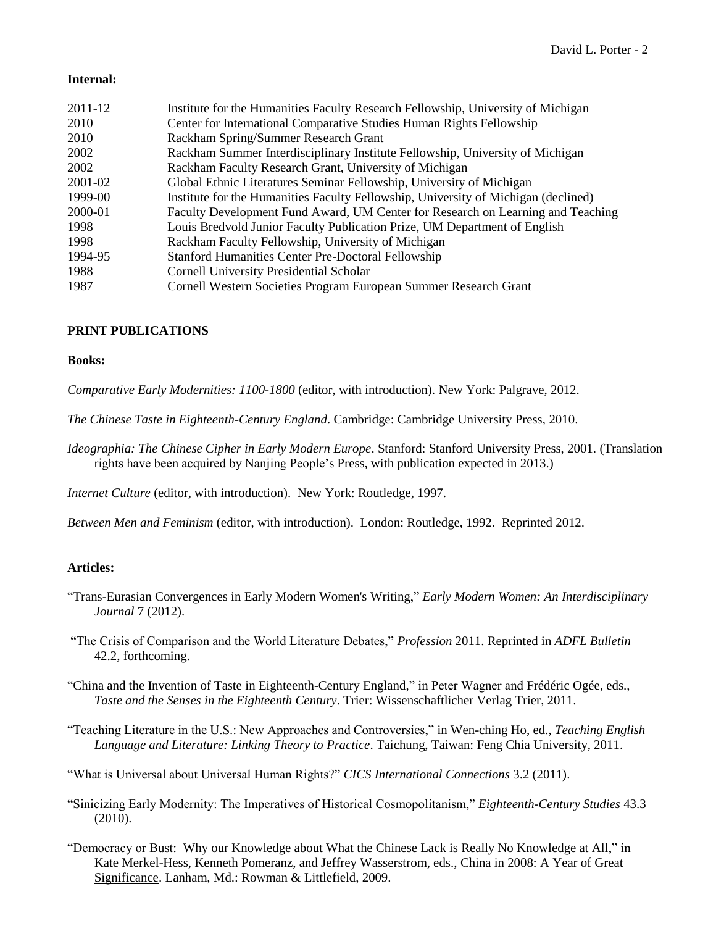## **Internal:**

| 2011-12 | Institute for the Humanities Faculty Research Fellowship, University of Michigan   |
|---------|------------------------------------------------------------------------------------|
| 2010    | Center for International Comparative Studies Human Rights Fellowship               |
| 2010    | Rackham Spring/Summer Research Grant                                               |
| 2002    | Rackham Summer Interdisciplinary Institute Fellowship, University of Michigan      |
| 2002    | Rackham Faculty Research Grant, University of Michigan                             |
| 2001-02 | Global Ethnic Literatures Seminar Fellowship, University of Michigan               |
| 1999-00 | Institute for the Humanities Faculty Fellowship, University of Michigan (declined) |
| 2000-01 | Faculty Development Fund Award, UM Center for Research on Learning and Teaching    |
| 1998    | Louis Bredvold Junior Faculty Publication Prize, UM Department of English          |
| 1998    | Rackham Faculty Fellowship, University of Michigan                                 |
| 1994-95 | <b>Stanford Humanities Center Pre-Doctoral Fellowship</b>                          |
| 1988    | <b>Cornell University Presidential Scholar</b>                                     |
| 1987    | Cornell Western Societies Program European Summer Research Grant                   |

## **PRINT PUBLICATIONS**

## **Books:**

*Comparative Early Modernities: 1100-1800* (editor, with introduction). New York: Palgrave, 2012.

*The Chinese Taste in Eighteenth-Century England*. Cambridge: Cambridge University Press, 2010.

*Ideographia: The Chinese Cipher in Early Modern Europe*. Stanford: Stanford University Press, 2001. (Translation rights have been acquired by Nanjing People's Press, with publication expected in 2013.)

*Internet Culture* (editor, with introduction). New York: Routledge, 1997.

*Between Men and Feminism* (editor, with introduction). London: Routledge, 1992. Reprinted 2012.

## **Articles:**

- "Trans-Eurasian Convergences in Early Modern Women's Writing," *Early Modern Women: An Interdisciplinary Journal* 7 (2012).
- "The Crisis of Comparison and the World Literature Debates," *Profession* 2011. Reprinted in *ADFL Bulletin* 42.2, forthcoming.
- "China and the Invention of Taste in Eighteenth-Century England," in Peter Wagner and Frédéric Ogée, eds., *Taste and the Senses in the Eighteenth Century*. Trier: Wissenschaftlicher Verlag Trier, 2011.
- "Teaching Literature in the U.S.: New Approaches and Controversies," in Wen-ching Ho, ed., *Teaching English Language and Literature: Linking Theory to Practice*. Taichung, Taiwan: Feng Chia University, 2011.
- "What is Universal about Universal Human Rights?" *CICS International Connections* 3.2 (2011).
- "Sinicizing Early Modernity: The Imperatives of Historical Cosmopolitanism," *Eighteenth-Century Studies* 43.3 (2010).
- "Democracy or Bust: Why our Knowledge about What the Chinese Lack is Really No Knowledge at All," in Kate Merkel-Hess, Kenneth Pomeranz, and Jeffrey Wasserstrom, eds., China in 2008: A Year of Great Significance. Lanham, Md.: Rowman & Littlefield, 2009.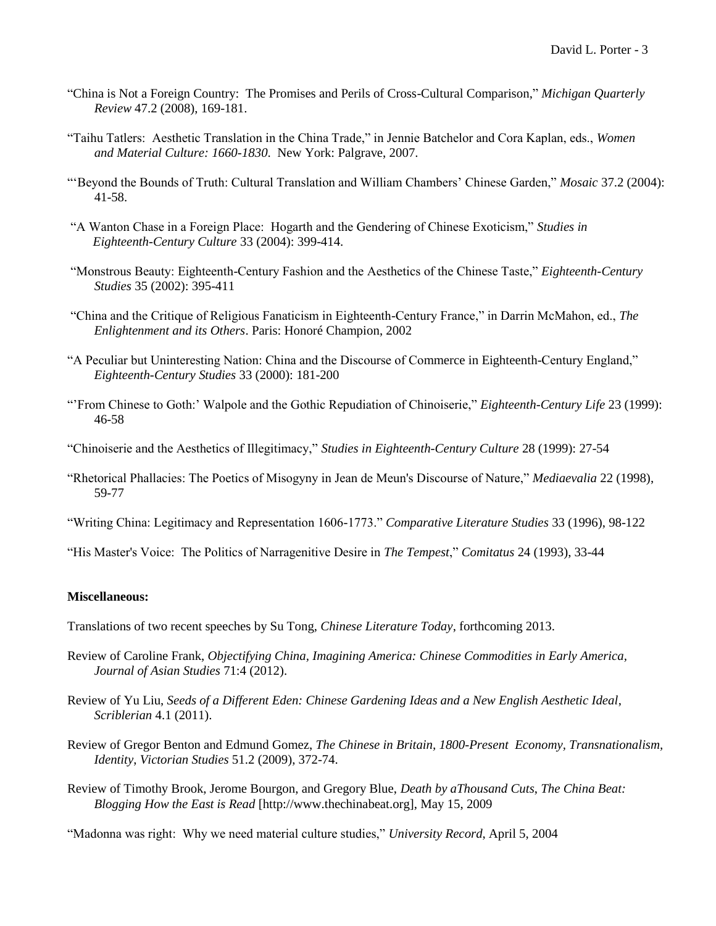- "China is Not a Foreign Country: The Promises and Perils of Cross-Cultural Comparison," *Michigan Quarterly Review* 47.2 (2008), 169-181.
- "Taihu Tatlers: Aesthetic Translation in the China Trade," in Jennie Batchelor and Cora Kaplan, eds., *Women and Material Culture: 1660-1830*. New York: Palgrave, 2007.
- "'Beyond the Bounds of Truth: Cultural Translation and William Chambers' Chinese Garden," *Mosaic* 37.2 (2004): 41-58.
- "A Wanton Chase in a Foreign Place: Hogarth and the Gendering of Chinese Exoticism," *Studies in Eighteenth-Century Culture* 33 (2004): 399-414.
- "Monstrous Beauty: Eighteenth-Century Fashion and the Aesthetics of the Chinese Taste," *Eighteenth-Century Studies* 35 (2002): 395-411
- "China and the Critique of Religious Fanaticism in Eighteenth-Century France," in Darrin McMahon, ed., *The Enlightenment and its Others*. Paris: Honoré Champion, 2002
- "A Peculiar but Uninteresting Nation: China and the Discourse of Commerce in Eighteenth-Century England," *Eighteenth-Century Studies* 33 (2000): 181-200
- "'From Chinese to Goth:' Walpole and the Gothic Repudiation of Chinoiserie," *Eighteenth-Century Life* 23 (1999): 46-58
- "Chinoiserie and the Aesthetics of Illegitimacy," *Studies in Eighteenth-Century Culture* 28 (1999): 27-54
- "Rhetorical Phallacies: The Poetics of Misogyny in Jean de Meun's Discourse of Nature," *Mediaevalia* 22 (1998), 59-77
- "Writing China: Legitimacy and Representation 1606-1773." *Comparative Literature Studies* 33 (1996), 98-122
- "His Master's Voice: The Politics of Narragenitive Desire in *The Tempest*," *Comitatus* 24 (1993), 33-44

## **Miscellaneous:**

- Translations of two recent speeches by Su Tong, *Chinese Literature Today*, forthcoming 2013.
- Review of Caroline Frank, *Objectifying China, Imagining America: Chinese Commodities in Early America, Journal of Asian Studies* 71:4 (2012).
- Review of Yu Liu, *Seeds of a Different Eden: Chinese Gardening Ideas and a New English Aesthetic Ideal*, *Scriblerian* 4.1 (2011).
- Review of Gregor Benton and Edmund Gomez, *The Chinese in Britain, 1800-Present Economy, Transnationalism, Identity*, *Victorian Studies* 51.2 (2009), 372-74.
- Review of Timothy Brook, Jerome Bourgon, and Gregory Blue, *Death by aThousand Cuts*, *The China Beat: Blogging How the East is Read* [http://www.thechinabeat.org], May 15, 2009

"Madonna was right: Why we need material culture studies," *University Record*, April 5, 2004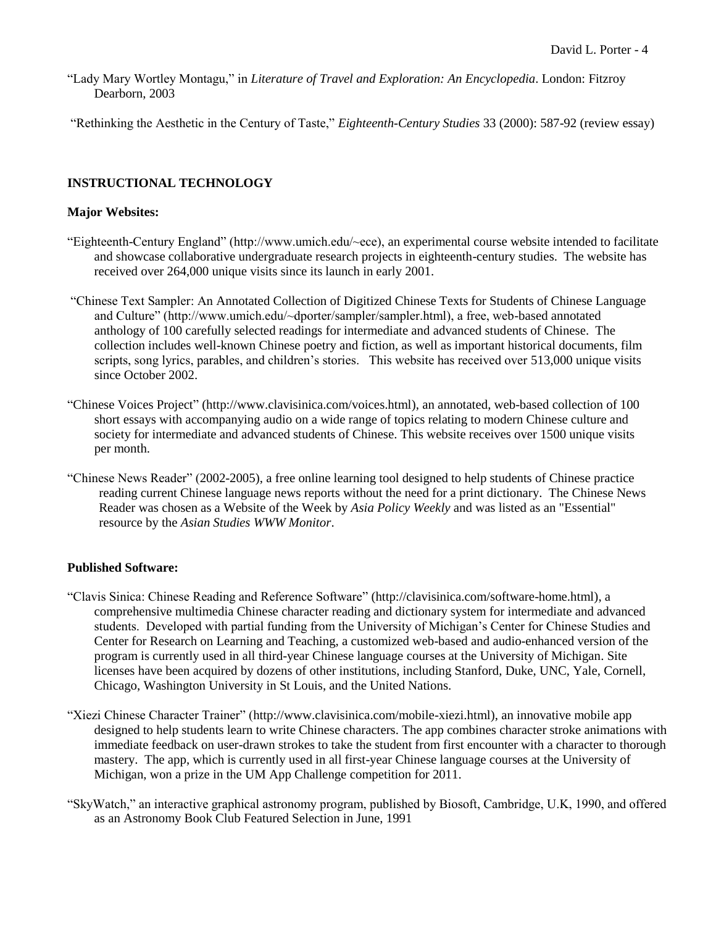"Lady Mary Wortley Montagu," in *Literature of Travel and Exploration: An Encyclopedia*. London: Fitzroy Dearborn, 2003

"Rethinking the Aesthetic in the Century of Taste," *Eighteenth-Century Studies* 33 (2000): 587-92 (review essay)

# **INSTRUCTIONAL TECHNOLOGY**

## **Major Websites:**

- "Eighteenth-Century England" (http://www.umich.edu/~ece), an experimental course website intended to facilitate and showcase collaborative undergraduate research projects in eighteenth-century studies. The website has received over 264,000 unique visits since its launch in early 2001.
- "Chinese Text Sampler: An Annotated Collection of Digitized Chinese Texts for Students of Chinese Language and Culture" (http://www.umich.edu/~dporter/sampler/sampler.html), a free, web-based annotated anthology of 100 carefully selected readings for intermediate and advanced students of Chinese. The collection includes well-known Chinese poetry and fiction, as well as important historical documents, film scripts, song lyrics, parables, and children's stories. This website has received over 513,000 unique visits since October 2002.
- "Chinese Voices Project" (http://www.clavisinica.com/voices.html), an annotated, web-based collection of 100 short essays with accompanying audio on a wide range of topics relating to modern Chinese culture and society for intermediate and advanced students of Chinese. This website receives over 1500 unique visits per month.
- "Chinese News Reader" (2002-2005), a free online learning tool designed to help students of Chinese practice reading current Chinese language news reports without the need for a print dictionary. The Chinese News Reader was chosen as a Website of the Week by *Asia Policy Weekly* and was listed as an "Essential" resource by the *Asian Studies WWW Monitor*.

## **Published Software:**

- "Clavis Sinica: Chinese Reading and Reference Software" (http://clavisinica.com/software-home.html), a comprehensive multimedia Chinese character reading and dictionary system for intermediate and advanced students. Developed with partial funding from the University of Michigan's Center for Chinese Studies and Center for Research on Learning and Teaching, a customized web-based and audio-enhanced version of the program is currently used in all third-year Chinese language courses at the University of Michigan. Site licenses have been acquired by dozens of other institutions, including Stanford, Duke, UNC, Yale, Cornell, Chicago, Washington University in St Louis, and the United Nations.
- "Xiezi Chinese Character Trainer" (http://www.clavisinica.com/mobile-xiezi.html), an innovative mobile app designed to help students learn to write Chinese characters. The app combines character stroke animations with immediate feedback on user-drawn strokes to take the student from first encounter with a character to thorough mastery. The app, which is currently used in all first-year Chinese language courses at the University of Michigan, won a prize in the UM App Challenge competition for 2011.
- "SkyWatch," an interactive graphical astronomy program, published by Biosoft, Cambridge, U.K, 1990, and offered as an Astronomy Book Club Featured Selection in June, 1991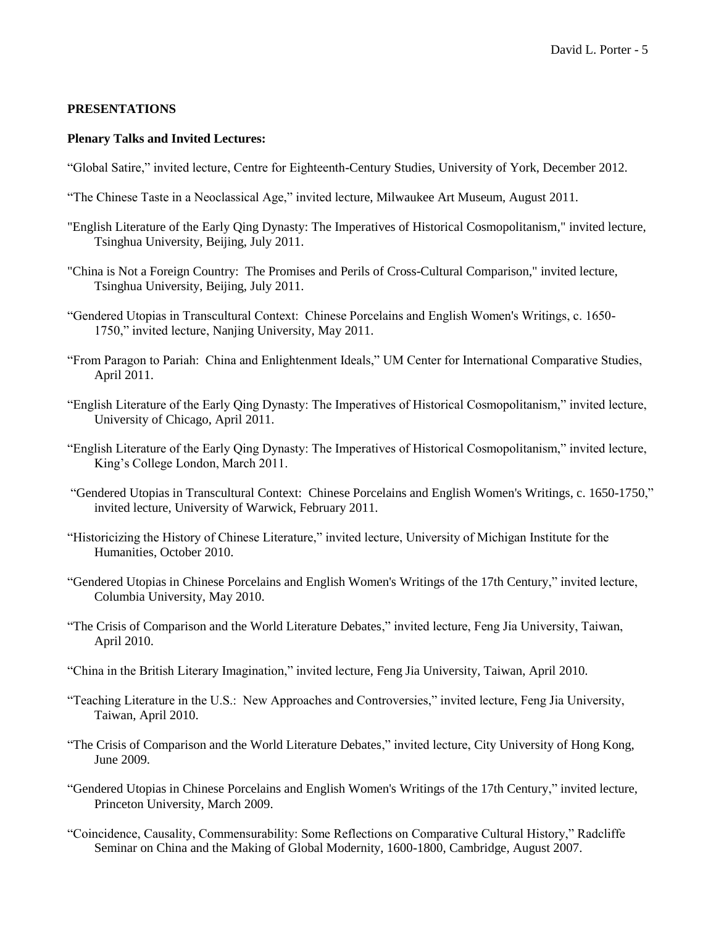## **PRESENTATIONS**

## **Plenary Talks and Invited Lectures:**

- "Global Satire," invited lecture, Centre for Eighteenth-Century Studies, University of York, December 2012.
- "The Chinese Taste in a Neoclassical Age," invited lecture, Milwaukee Art Museum, August 2011.
- "English Literature of the Early Qing Dynasty: The Imperatives of Historical Cosmopolitanism," invited lecture, Tsinghua University, Beijing, July 2011.
- "China is Not a Foreign Country: The Promises and Perils of Cross-Cultural Comparison," invited lecture, Tsinghua University, Beijing, July 2011.
- "Gendered Utopias in Transcultural Context: Chinese Porcelains and English Women's Writings, c. 1650- 1750," invited lecture, Nanjing University, May 2011.
- "From Paragon to Pariah: China and Enlightenment Ideals," UM Center for International Comparative Studies, April 2011.
- "English Literature of the Early Qing Dynasty: The Imperatives of Historical Cosmopolitanism," invited lecture, University of Chicago, April 2011.
- "English Literature of the Early Qing Dynasty: The Imperatives of Historical Cosmopolitanism," invited lecture, King's College London, March 2011.
- "Gendered Utopias in Transcultural Context: Chinese Porcelains and English Women's Writings, c. 1650-1750," invited lecture, University of Warwick, February 2011.
- "Historicizing the History of Chinese Literature," invited lecture, University of Michigan Institute for the Humanities, October 2010.
- "Gendered Utopias in Chinese Porcelains and English Women's Writings of the 17th Century," invited lecture, Columbia University, May 2010.
- "The Crisis of Comparison and the World Literature Debates," invited lecture, Feng Jia University, Taiwan, April 2010.
- "China in the British Literary Imagination," invited lecture, Feng Jia University, Taiwan, April 2010.
- "Teaching Literature in the U.S.: New Approaches and Controversies," invited lecture, Feng Jia University, Taiwan, April 2010.
- "The Crisis of Comparison and the World Literature Debates," invited lecture, City University of Hong Kong, June 2009.
- "Gendered Utopias in Chinese Porcelains and English Women's Writings of the 17th Century," invited lecture, Princeton University, March 2009.
- "Coincidence, Causality, Commensurability: Some Reflections on Comparative Cultural History," Radcliffe Seminar on China and the Making of Global Modernity, 1600-1800, Cambridge, August 2007.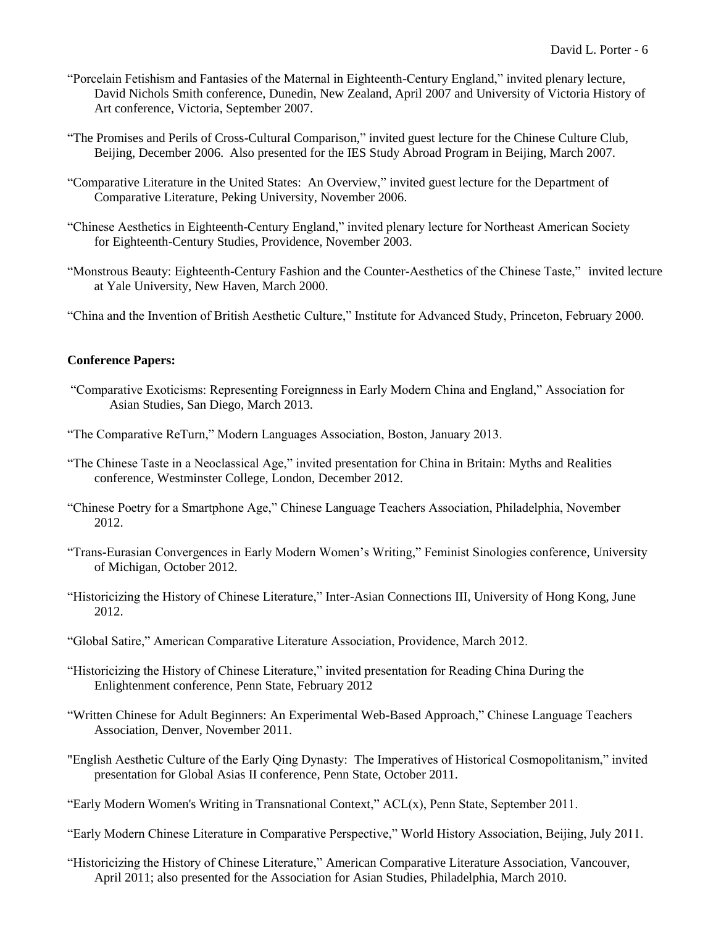- "Porcelain Fetishism and Fantasies of the Maternal in Eighteenth-Century England," invited plenary lecture, David Nichols Smith conference, Dunedin, New Zealand, April 2007 and University of Victoria History of Art conference, Victoria, September 2007.
- "The Promises and Perils of Cross-Cultural Comparison," invited guest lecture for the Chinese Culture Club, Beijing, December 2006. Also presented for the IES Study Abroad Program in Beijing, March 2007.
- "Comparative Literature in the United States: An Overview," invited guest lecture for the Department of Comparative Literature, Peking University, November 2006.
- "Chinese Aesthetics in Eighteenth-Century England," invited plenary lecture for Northeast American Society for Eighteenth-Century Studies, Providence, November 2003.
- "Monstrous Beauty: Eighteenth-Century Fashion and the Counter-Aesthetics of the Chinese Taste," invited lecture at Yale University, New Haven, March 2000.

"China and the Invention of British Aesthetic Culture," Institute for Advanced Study, Princeton, February 2000.

## **Conference Papers:**

- "Comparative Exoticisms: Representing Foreignness in Early Modern China and England," Association for Asian Studies, San Diego, March 2013.
- "The Comparative ReTurn," Modern Languages Association, Boston, January 2013.
- "The Chinese Taste in a Neoclassical Age," invited presentation for China in Britain: Myths and Realities conference, Westminster College, London, December 2012.
- "Chinese Poetry for a Smartphone Age," Chinese Language Teachers Association, Philadelphia, November 2012.
- "Trans-Eurasian Convergences in Early Modern Women's Writing," Feminist Sinologies conference, University of Michigan, October 2012.
- "Historicizing the History of Chinese Literature," Inter-Asian Connections III, University of Hong Kong, June 2012.
- "Global Satire," American Comparative Literature Association, Providence, March 2012.
- "Historicizing the History of Chinese Literature," invited presentation for Reading China During the Enlightenment conference, Penn State, February 2012
- "Written Chinese for Adult Beginners: An Experimental Web-Based Approach," Chinese Language Teachers Association, Denver, November 2011.
- "English Aesthetic Culture of the Early Qing Dynasty: The Imperatives of Historical Cosmopolitanism," invited presentation for Global Asias II conference, Penn State, October 2011.
- "Early Modern Women's Writing in Transnational Context," ACL(x), Penn State, September 2011.
- "Early Modern Chinese Literature in Comparative Perspective," World History Association, Beijing, July 2011.
- "Historicizing the History of Chinese Literature," American Comparative Literature Association, Vancouver, April 2011; also presented for the Association for Asian Studies, Philadelphia, March 2010.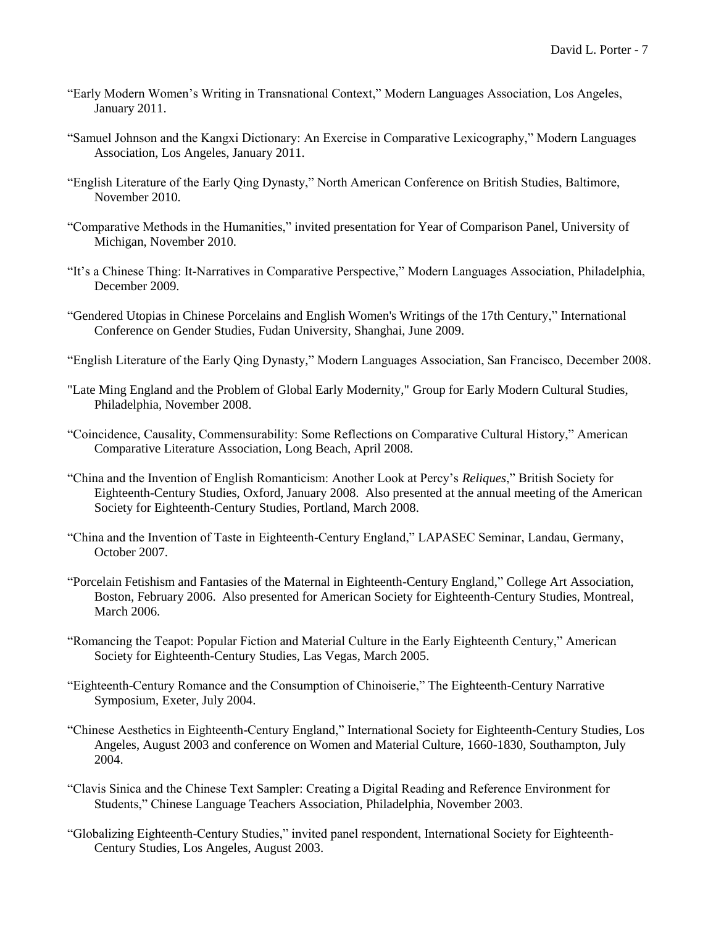- "Early Modern Women's Writing in Transnational Context," Modern Languages Association, Los Angeles, January 2011.
- "Samuel Johnson and the Kangxi Dictionary: An Exercise in Comparative Lexicography," Modern Languages Association, Los Angeles, January 2011.
- "English Literature of the Early Qing Dynasty," North American Conference on British Studies, Baltimore, November 2010.
- "Comparative Methods in the Humanities," invited presentation for Year of Comparison Panel, University of Michigan, November 2010.
- "It's a Chinese Thing: It-Narratives in Comparative Perspective," Modern Languages Association, Philadelphia, December 2009.
- "Gendered Utopias in Chinese Porcelains and English Women's Writings of the 17th Century," International Conference on Gender Studies, Fudan University, Shanghai, June 2009.
- "English Literature of the Early Qing Dynasty," Modern Languages Association, San Francisco, December 2008.
- "Late Ming England and the Problem of Global Early Modernity," Group for Early Modern Cultural Studies, Philadelphia, November 2008.
- "Coincidence, Causality, Commensurability: Some Reflections on Comparative Cultural History," American Comparative Literature Association, Long Beach, April 2008.
- "China and the Invention of English Romanticism: Another Look at Percy's *Reliques*," British Society for Eighteenth-Century Studies, Oxford, January 2008. Also presented at the annual meeting of the American Society for Eighteenth-Century Studies, Portland, March 2008.
- "China and the Invention of Taste in Eighteenth-Century England," LAPASEC Seminar, Landau, Germany, October 2007.
- "Porcelain Fetishism and Fantasies of the Maternal in Eighteenth-Century England," College Art Association, Boston, February 2006. Also presented for American Society for Eighteenth-Century Studies, Montreal, March 2006.
- "Romancing the Teapot: Popular Fiction and Material Culture in the Early Eighteenth Century," American Society for Eighteenth-Century Studies, Las Vegas, March 2005.
- "Eighteenth-Century Romance and the Consumption of Chinoiserie," The Eighteenth-Century Narrative Symposium, Exeter, July 2004.
- "Chinese Aesthetics in Eighteenth-Century England," International Society for Eighteenth-Century Studies, Los Angeles, August 2003 and conference on Women and Material Culture, 1660-1830, Southampton, July 2004.
- "Clavis Sinica and the Chinese Text Sampler: Creating a Digital Reading and Reference Environment for Students," Chinese Language Teachers Association, Philadelphia, November 2003.
- "Globalizing Eighteenth-Century Studies," invited panel respondent, International Society for Eighteenth-Century Studies, Los Angeles, August 2003.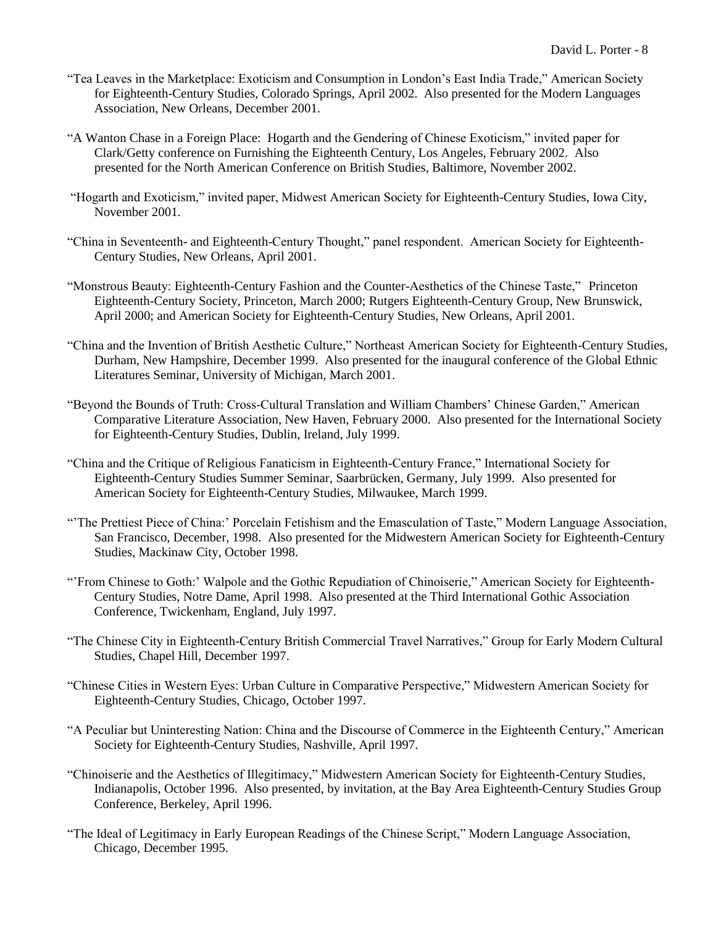- "Tea Leaves in the Marketplace: Exoticism and Consumption in London's East India Trade," American Society for Eighteenth-Century Studies, Colorado Springs, April 2002. Also presented for the Modern Languages Association, New Orleans, December 2001.
- "A Wanton Chase in a Foreign Place: Hogarth and the Gendering of Chinese Exoticism," invited paper for Clark/Getty conference on Furnishing the Eighteenth Century, Los Angeles, February 2002. Also presented for the North American Conference on British Studies, Baltimore, November 2002.
- "Hogarth and Exoticism," invited paper, Midwest American Society for Eighteenth-Century Studies, Iowa City, November 2001.
- "China in Seventeenth- and Eighteenth-Century Thought," panel respondent. American Society for Eighteenth-Century Studies, New Orleans, April 2001.
- "Monstrous Beauty: Eighteenth-Century Fashion and the Counter-Aesthetics of the Chinese Taste," Princeton Eighteenth-Century Society, Princeton, March 2000; Rutgers Eighteenth-Century Group, New Brunswick, April 2000; and American Society for Eighteenth-Century Studies, New Orleans, April 2001.
- "China and the Invention of British Aesthetic Culture," Northeast American Society for Eighteenth-Century Studies, Durham, New Hampshire, December 1999. Also presented for the inaugural conference of the Global Ethnic Literatures Seminar, University of Michigan, March 2001.
- "Beyond the Bounds of Truth: Cross-Cultural Translation and William Chambers' Chinese Garden," American Comparative Literature Association, New Haven, February 2000. Also presented for the International Society for Eighteenth-Century Studies, Dublin, Ireland, July 1999.
- "China and the Critique of Religious Fanaticism in Eighteenth-Century France," International Society for Eighteenth-Century Studies Summer Seminar, Saarbrücken, Germany, July 1999. Also presented for American Society for Eighteenth-Century Studies, Milwaukee, March 1999.
- "'The Prettiest Piece of China:' Porcelain Fetishism and the Emasculation of Taste," Modern Language Association, San Francisco, December, 1998. Also presented for the Midwestern American Society for Eighteenth-Century Studies, Mackinaw City, October 1998.
- "'From Chinese to Goth:' Walpole and the Gothic Repudiation of Chinoiserie," American Society for Eighteenth-Century Studies, Notre Dame, April 1998. Also presented at the Third International Gothic Association Conference, Twickenham, England, July 1997.
- "The Chinese City in Eighteenth-Century British Commercial Travel Narratives," Group for Early Modern Cultural Studies, Chapel Hill, December 1997.
- "Chinese Cities in Western Eyes: Urban Culture in Comparative Perspective," Midwestern American Society for Eighteenth-Century Studies, Chicago, October 1997.
- "A Peculiar but Uninteresting Nation: China and the Discourse of Commerce in the Eighteenth Century," American Society for Eighteenth-Century Studies, Nashville, April 1997.
- "Chinoiserie and the Aesthetics of Illegitimacy," Midwestern American Society for Eighteenth-Century Studies, Indianapolis, October 1996. Also presented, by invitation, at the Bay Area Eighteenth-Century Studies Group Conference, Berkeley, April 1996.
- "The Ideal of Legitimacy in Early European Readings of the Chinese Script," Modern Language Association, Chicago, December 1995.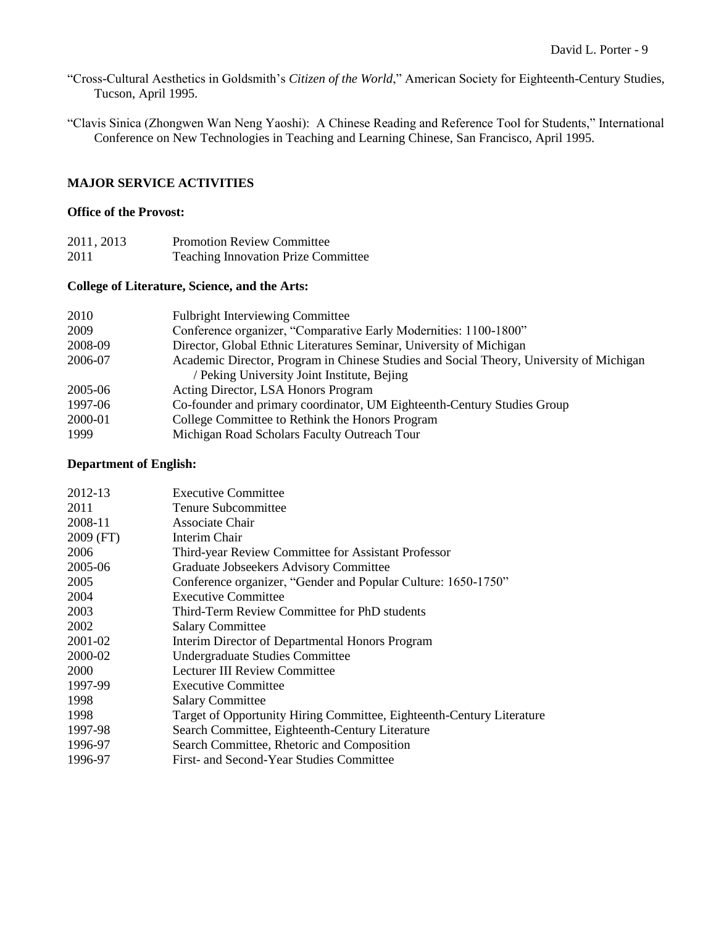"Cross-Cultural Aesthetics in Goldsmith's *Citizen of the World*," American Society for Eighteenth-Century Studies, Tucson, April 1995.

"Clavis Sinica (Zhongwen Wan Neng Yaoshi): A Chinese Reading and Reference Tool for Students," International Conference on New Technologies in Teaching and Learning Chinese, San Francisco, April 1995.

## **MAJOR SERVICE ACTIVITIES**

# **Office of the Provost:**

| 2011, 2013 | <b>Promotion Review Committee</b>          |
|------------|--------------------------------------------|
| 2011       | <b>Teaching Innovation Prize Committee</b> |

# **College of Literature, Science, and the Arts:**

| 2010    | <b>Fulbright Interviewing Committee</b>                                                 |
|---------|-----------------------------------------------------------------------------------------|
| 2009    | Conference organizer, "Comparative Early Modernities: 1100-1800"                        |
| 2008-09 | Director, Global Ethnic Literatures Seminar, University of Michigan                     |
| 2006-07 | Academic Director, Program in Chinese Studies and Social Theory, University of Michigan |
|         | / Peking University Joint Institute, Bejing                                             |
| 2005-06 | Acting Director, LSA Honors Program                                                     |
| 1997-06 | Co-founder and primary coordinator, UM Eighteenth-Century Studies Group                 |
| 2000-01 | College Committee to Rethink the Honors Program                                         |
| 1999    | Michigan Road Scholars Faculty Outreach Tour                                            |

# **Department of English:**

| 2012-13     | <b>Executive Committee</b>                                            |
|-------------|-----------------------------------------------------------------------|
| 2011        | Tenure Subcommittee                                                   |
| 2008-11     | Associate Chair                                                       |
| $2009$ (FT) | Interim Chair                                                         |
| 2006        | Third-year Review Committee for Assistant Professor                   |
| 2005-06     | Graduate Jobseekers Advisory Committee                                |
| 2005        | Conference organizer, "Gender and Popular Culture: 1650-1750"         |
| 2004        | <b>Executive Committee</b>                                            |
| 2003        | Third-Term Review Committee for PhD students                          |
| 2002        | <b>Salary Committee</b>                                               |
| 2001-02     | Interim Director of Departmental Honors Program                       |
| 2000-02     | Undergraduate Studies Committee                                       |
| 2000        | <b>Lecturer III Review Committee</b>                                  |
| 1997-99     | <b>Executive Committee</b>                                            |
| 1998        | <b>Salary Committee</b>                                               |
| 1998        | Target of Opportunity Hiring Committee, Eighteenth-Century Literature |
| 1997-98     | Search Committee, Eighteenth-Century Literature                       |
| 1996-97     | Search Committee, Rhetoric and Composition                            |
| 1996-97     | First- and Second-Year Studies Committee                              |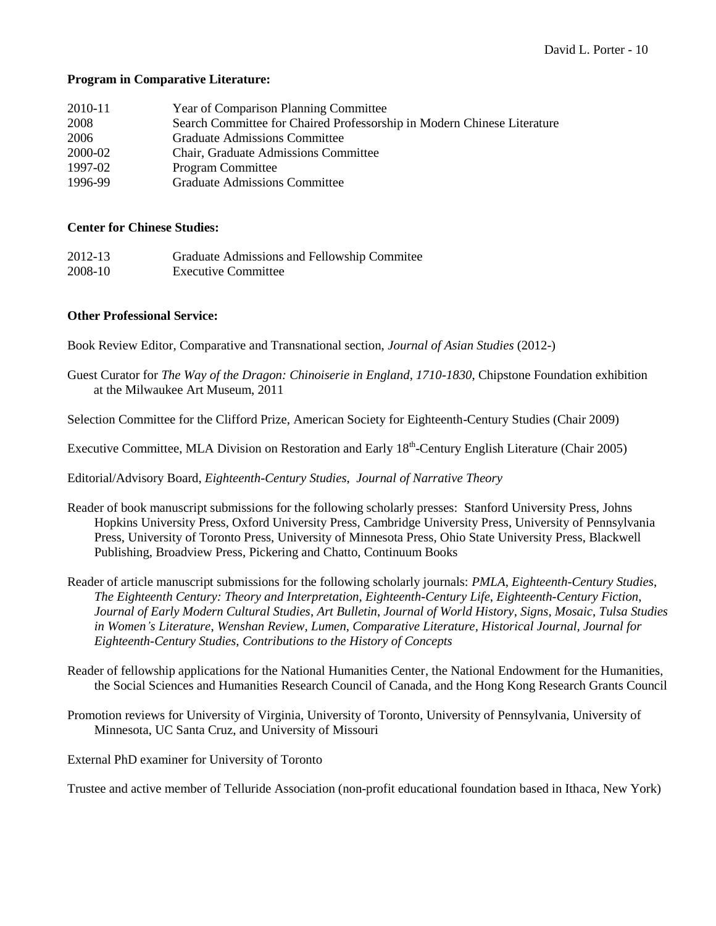## **Program in Comparative Literature:**

| 2010-11 | <b>Year of Comparison Planning Committee</b>                            |
|---------|-------------------------------------------------------------------------|
| 2008    | Search Committee for Chaired Professorship in Modern Chinese Literature |
| 2006    | <b>Graduate Admissions Committee</b>                                    |
| 2000-02 | <b>Chair, Graduate Admissions Committee</b>                             |
| 1997-02 | <b>Program Committee</b>                                                |
| 1996-99 | <b>Graduate Admissions Committee</b>                                    |

## **Center for Chinese Studies:**

| 2012-13 | Graduate Admissions and Fellowship Commitee |
|---------|---------------------------------------------|
| 2008-10 | <b>Executive Committee</b>                  |

## **Other Professional Service:**

Book Review Editor, Comparative and Transnational section, *Journal of Asian Studies* (2012-)

Guest Curator for *The Way of the Dragon: Chinoiserie in England, 1710-1830*, Chipstone Foundation exhibition at the Milwaukee Art Museum, 2011

Selection Committee for the Clifford Prize, American Society for Eighteenth-Century Studies (Chair 2009)

Executive Committee, MLA Division on Restoration and Early 18<sup>th</sup>-Century English Literature (Chair 2005)

Editorial/Advisory Board, *Eighteenth-Century Studies*, *Journal of Narrative Theory*

- Reader of book manuscript submissions for the following scholarly presses: Stanford University Press, Johns Hopkins University Press, Oxford University Press, Cambridge University Press, University of Pennsylvania Press, University of Toronto Press, University of Minnesota Press, Ohio State University Press, Blackwell Publishing, Broadview Press, Pickering and Chatto, Continuum Books
- Reader of article manuscript submissions for the following scholarly journals: *PMLA*, *Eighteenth-Century Studies*, *The Eighteenth Century: Theory and Interpretation, Eighteenth-Century Life*, *Eighteenth-Century Fiction*, *Journal of Early Modern Cultural Studies*, *Art Bulletin*, *Journal of World History*, *Signs*, *Mosaic*, *Tulsa Studies in Women's Literature*, *Wenshan Review, Lumen, Comparative Literature, Historical Journal, Journal for Eighteenth-Century Studies, Contributions to the History of Concepts*
- Reader of fellowship applications for the National Humanities Center, the National Endowment for the Humanities, the Social Sciences and Humanities Research Council of Canada, and the Hong Kong Research Grants Council
- Promotion reviews for University of Virginia, University of Toronto, University of Pennsylvania, University of Minnesota, UC Santa Cruz, and University of Missouri

External PhD examiner for University of Toronto

Trustee and active member of Telluride Association (non-profit educational foundation based in Ithaca, New York)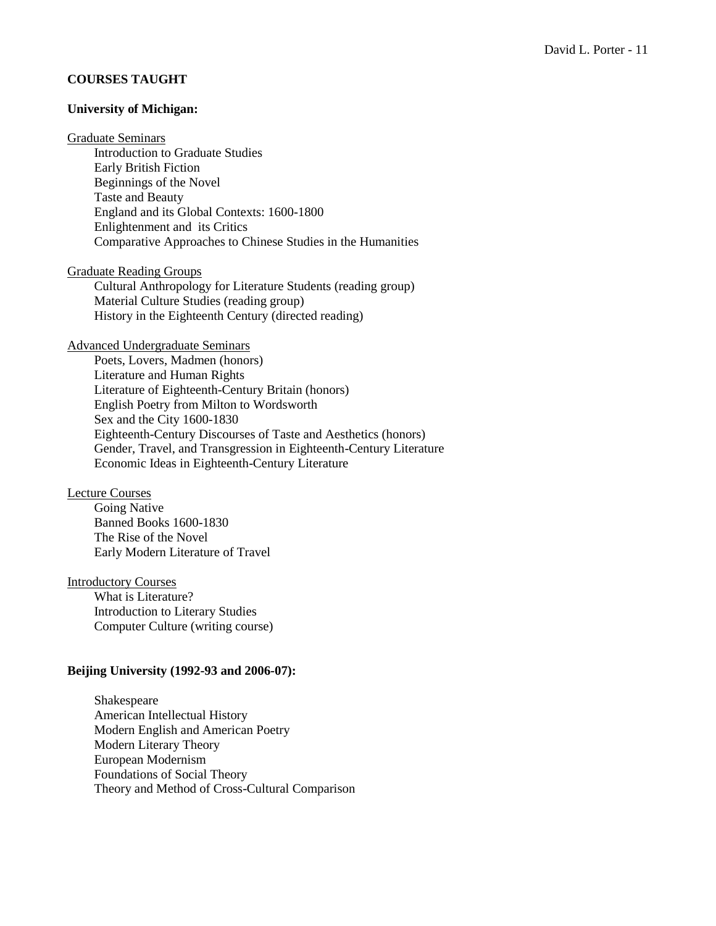## **COURSES TAUGHT**

## **University of Michigan:**

### Graduate Seminars

Introduction to Graduate Studies Early British Fiction Beginnings of the Novel Taste and Beauty England and its Global Contexts: 1600-1800 Enlightenment and its Critics Comparative Approaches to Chinese Studies in the Humanities

Graduate Reading Groups

Cultural Anthropology for Literature Students (reading group) Material Culture Studies (reading group) History in the Eighteenth Century (directed reading)

### Advanced Undergraduate Seminars

Poets, Lovers, Madmen (honors) Literature and Human Rights Literature of Eighteenth-Century Britain (honors) English Poetry from Milton to Wordsworth Sex and the City 1600-1830 Eighteenth-Century Discourses of Taste and Aesthetics (honors) Gender, Travel, and Transgression in Eighteenth-Century Literature Economic Ideas in Eighteenth-Century Literature

#### Lecture Courses

Going Native Banned Books 1600-1830 The Rise of the Novel Early Modern Literature of Travel

### Introductory Courses

What is Literature? Introduction to Literary Studies Computer Culture (writing course)

### **Beijing University (1992-93 and 2006-07):**

Shakespeare American Intellectual History Modern English and American Poetry Modern Literary Theory European Modernism Foundations of Social Theory Theory and Method of Cross-Cultural Comparison